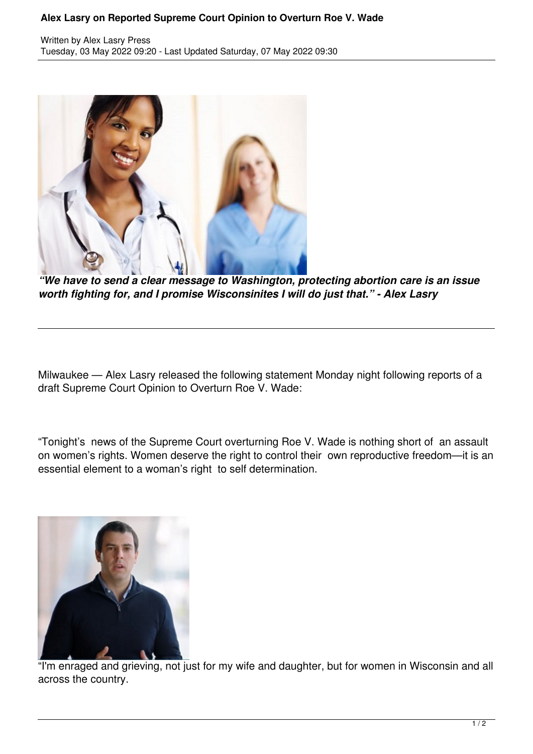## **Alex Lasry on Reported Supreme Court Opinion to Overturn Roe V. Wade**

Written by Alex Lasry Press Tuesday, 03 May 2022 09:20 - Last Updated Saturday, 07 May 2022 09:30



*"We have to send a clear message to Washington, protecting abortion care is an issue worth fighting for, and I promise Wisconsinites I will do just that." - Alex Lasry*

Milwaukee — Alex Lasry released the following statement Monday night following reports of a draft Supreme Court Opinion to Overturn Roe V. Wade:

"Tonight's news of the Supreme Court overturning Roe V. Wade is nothing short of an assault on women's rights. Women deserve the right to control their own reproductive freedom—it is an essential element to a woman's right to self determination.



"I'm enraged and grieving, not just for my wife and daughter, but for women in Wisconsin and all across the country.